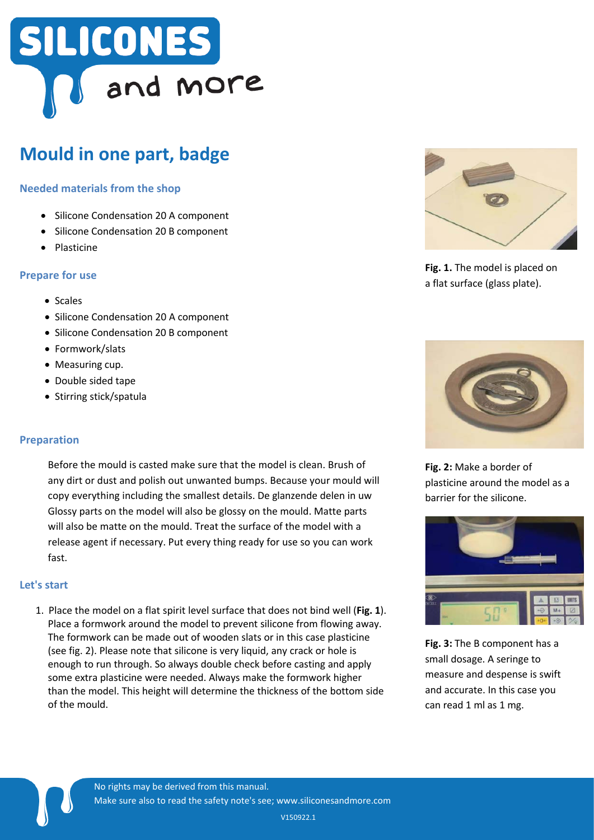## SILICONES and more

### **Mould in one part, badge**

#### **Needed materials from the shop**

- Silicone Condensation 20 A component
- Silicone Condensation 20 B component
- Plasticine

#### **Prepare for use**

- Scales
- Silicone Condensation 20 A component
- Silicone Condensation 20 B component
- Formwork/slats
- Measuring cup.
- Double sided tape
- Stirring stick/spatula

#### **Preparation**

Before the mould is casted make sure that the model is clean. Brush of any dirt or dust and polish out unwanted bumps. Because your mould will copy everything including the smallest details. De glanzende delen in uw Glossy parts on the model will also be glossy on the mould. Matte parts will also be matte on the mould. Treat the surface of the model with a release agent if necessary. Put every thing ready for use so you can work fast.

#### **Let's start**

 $\blacksquare$ 

1. Place the model on a flat spirit level surface that does not bind well (**Fig. 1**). Place a formwork around the model to prevent silicone from flowing away. The formwork can be made out of wooden slats or in this case plasticine (see fig. 2). Please note that silicone is very liquid, any crack or hole is enough to run through. So always double check before casting and apply some extra plasticine were needed. Always make the formwork higher than the model. This height will determine the thickness of the bottom side of the mould.



**Fig. 1.** The model is placed on a flat surface (glass plate).



**Fig. 2:** Make a border of plasticine around the model as a barrier for the silicone.



**Fig. 3:** The B component has a small dosage. A seringe to measure and despense is swift and accurate. In this case you can read 1 ml as 1 mg.

V150922.1